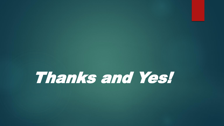Thanks and Yes!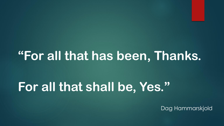# **"For all that has been, Thanks.**

# **For all that shall be, Yes."**

Dag Hammarskjold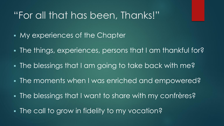## "For all that has been, Thanks!"

- **My experiences of the Chapter**
- The things, experiences, persons that I am thankful for?
- The blessings that I am going to take back with me?
- The moments when I was enriched and empowered?
- The blessings that I want to share with my confrères?
- **The call to grow in fidelity to my vocation?**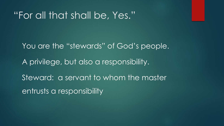### "For all that shall be, Yes."

You are the "stewards" of God's people. A privilege, but also a responsibility. Steward: a servant to whom the master entrusts a responsibility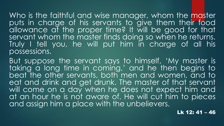Who is the faithful and wise manager, whom the master puts in charge of his servants to give them their food allowance at the proper time? It will be good for that servant whom the master finds doing so when he returns. Truly I tell you, he will put him in charge of all his possessions.

But suppose the servant says to himself, 'My master is taking a long time in coming,' and he then begins to beat the other servants, both men and women, and to eat and drink and get drunk. The master of that servant will come on a day when he does not expect him and at an hour he is not aware of. He will cut him to pieces and assign him a place with the unbelievers.

Lk 12: 41 – 46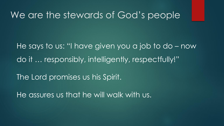#### We are the stewards of God's people

He says to us: "I have given you a job to do – now do it … responsibly, intelligently, respectfully!"

The Lord promises us his Spirit.

He assures us that he will walk with us.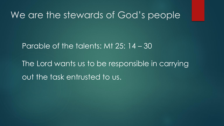#### We are the stewards of God's people

Parable of the talents: Mt 25: 14 – 30

The Lord wants us to be responsible in carrying out the task entrusted to us.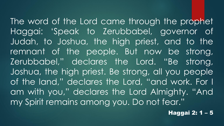The word of the Lord came through the prophet Haggai: 'Speak to Zerubbabel, governor of Judah, to Joshua, the high priest, and to the remnant of the people. But now be strong, Zerubbabel," declares the Lord. "Be strong, Joshua, the high priest. Be strong, all you people of the land," declares the Lord, "and work. For I am with you," declares the Lord Almighty. "And my Spirit remains among you. Do not fear."

Haggai 2: 1 – 5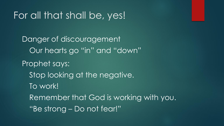## For all that shall be, yes!

Danger of discouragement Our hearts go "in" and "down" Prophet says: Stop looking at the negative. To work! Remember that God is working with you. "Be strong – Do not fear!"